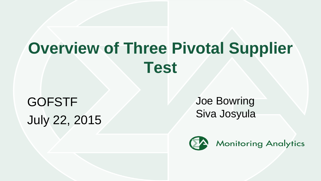# **Overview of Three Pivotal Supplier Test**

GOFSTF July 22, 2015 Joe Bowring Siva Josyula

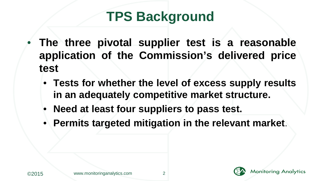## **TPS Background**

- **The three pivotal supplier test is a reasonable application of the Commission's delivered price test**
	- **Tests for whether the level of excess supply results in an adequately competitive market structure.**
	- **Need at least four suppliers to pass test.**
	- **Permits targeted mitigation in the relevant market**.





**Monitoring Analytics**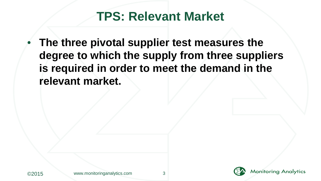#### **TPS: Relevant Market**

• **The three pivotal supplier test measures the degree to which the supply from three suppliers is required in order to meet the demand in the relevant market.** 



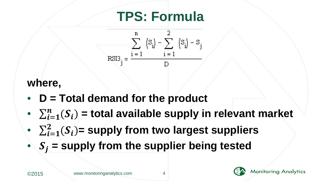## **TPS: Formula**

$$
\sum_{\text{RSI3}_j}^{n} \left\{ S_i \right\} = \frac{\sum_{i=1}^{n} \left\{ S_i \right\} - S_j}{D}
$$

#### **where,**

- **D = Total demand for the product**
- $\sum_{i=1}^{n}(S_i)$  = total available supply in relevant market
- $\sum_{i=1}^{2}(S_i)$ = supply from two largest suppliers
- $S_i$  = supply from the supplier being tested



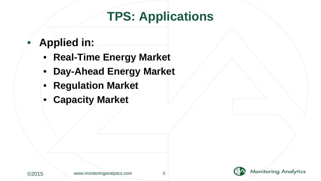### **TPS: Applications**

#### • **Applied in:**

- **Real-Time Energy Market**
- **Day-Ahead Energy Market**
- **Regulation Market**
- **Capacity Market**

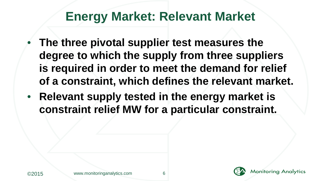#### **Energy Market: Relevant Market**

- **The three pivotal supplier test measures the degree to which the supply from three suppliers is required in order to meet the demand for relief of a constraint, which defines the relevant market.**
- **Relevant supply tested in the energy market is constraint relief MW for a particular constraint.**



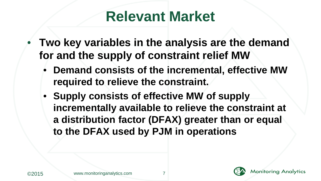## **Relevant Market**

- **Two key variables in the analysis are the demand for and the supply of constraint relief MW** 
	- **Demand consists of the incremental, effective MW required to relieve the constraint.**
	- **Supply consists of effective MW of supply incrementally available to relieve the constraint at a distribution factor (DFAX) greater than or equal to the DFAX used by PJM in operations**

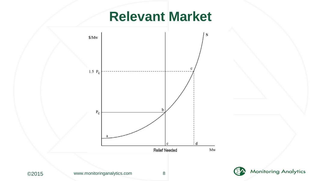### **Relevant Market**



**Monitoring Analytics**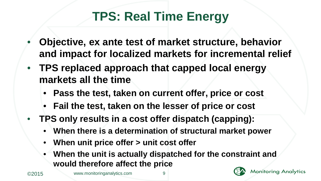### **TPS: Real Time Energy**

- **Objective, ex ante test of market structure, behavior and impact for localized markets for incremental relief**
- **TPS replaced approach that capped local energy markets all the time** 
	- **Pass the test, taken on current offer, price or cost**
	- **Fail the test, taken on the lesser of price or cost**
- **TPS only results in a cost offer dispatch (capping):** 
	- **When there is a determination of structural market power**
	- **When unit price offer > unit cost offer**
	- **When the unit is actually dispatched for the constraint and would therefore affect the price**



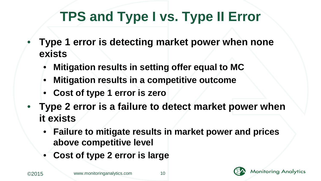## **TPS and Type I vs. Type II Error**

- **Type 1 error is detecting market power when none exists**
	- **Mitigation results in setting offer equal to MC**
	- **Mitigation results in a competitive outcome**
	- **Cost of type 1 error is zero**
- **Type 2 error is a failure to detect market power when it exists**
	- **Failure to mitigate results in market power and prices above competitive level**
	- **Cost of type 2 error is large**